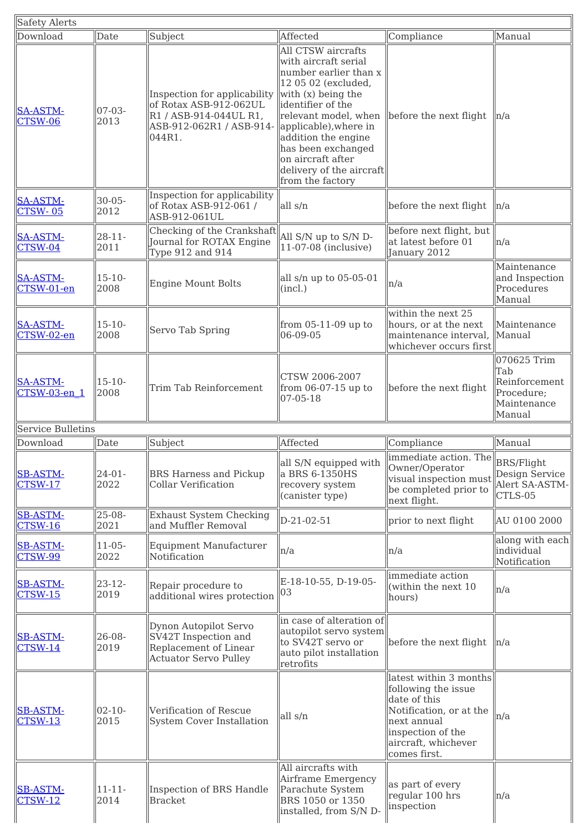| Safety Alerts                     |                     |                                                                                                                            |                                                                                                                                                                                                                                                                                                          |                                                                                                                                                                     |                                                                            |
|-----------------------------------|---------------------|----------------------------------------------------------------------------------------------------------------------------|----------------------------------------------------------------------------------------------------------------------------------------------------------------------------------------------------------------------------------------------------------------------------------------------------------|---------------------------------------------------------------------------------------------------------------------------------------------------------------------|----------------------------------------------------------------------------|
| Download                          | Date                | Subject                                                                                                                    | Affected                                                                                                                                                                                                                                                                                                 | Compliance                                                                                                                                                          | Manual                                                                     |
| <b>SA-ASTM-</b><br>CTSW-06        | $07-03-$<br>2013    | Inspection for applicability<br>of Rotax ASB-912-062UL<br>R1 / ASB-914-044UL R1,<br>ASB-912-062R1 / ASB-914-<br>044R1.     | All CTSW aircrafts<br>with aircraft serial<br>number earlier than x<br>12 05 02 (excluded,<br>with (x) being the<br>identifier of the<br>relevant model, when<br>applicable), where in<br>addition the engine<br>has been exchanged<br>on aircraft after<br>delivery of the aircraft<br>from the factory | before the next flight                                                                                                                                              | ln/a                                                                       |
| <b>SA-ASTM-</b><br><b>CTSW-05</b> | 30-05-<br>2012      | Inspection for applicability<br>of Rotax ASB-912-061 /<br>ASB-912-061UL                                                    | all s/n                                                                                                                                                                                                                                                                                                  | before the next flight                                                                                                                                              | n/a                                                                        |
| <b>SA-ASTM-</b><br><b>CTSW-04</b> | $28 - 11 -$<br>2011 | $\fbox{Checking of the Crankshaft}\big\ {\rm All\ S/N\ up\ to\ S/N\ D}\,.$<br>Journal for ROTAX Engine<br>Type 912 and 914 | $11-07-08$ (inclusive)                                                                                                                                                                                                                                                                                   | before next flight, but<br>at latest before 01<br>January 2012                                                                                                      | n/a                                                                        |
| <b>SA-ASTM-</b><br>CTSW-01-en     | $15 - 10 -$<br>2008 | <b>Engine Mount Bolts</b>                                                                                                  | all s/n up to 05-05-01<br>(incl.)                                                                                                                                                                                                                                                                        | n/a                                                                                                                                                                 | Maintenance<br>and Inspection<br>Procedures<br>Manual                      |
| <b>SA-ASTM-</b><br>CTSW-02-en     | $15 - 10 -$<br>2008 | Servo Tab Spring                                                                                                           | from $05-11-09$ up to<br>06-09-05                                                                                                                                                                                                                                                                        | within the next 25<br>hours, or at the next<br>maintenance interval,<br>whichever occurs first                                                                      | Maintenance<br>Manual                                                      |
| <b>SA-ASTM-</b><br>CTSW-03-en 1   | $15 - 10 -$<br>2008 | Trim Tab Reinforcement                                                                                                     | CTSW 2006-2007<br>from 06-07-15 up to<br>07-05-18                                                                                                                                                                                                                                                        | before the next flight                                                                                                                                              | 070625 Trim<br>Tab<br>Reinforcement<br>Procedure;<br>Maintenance<br>Manual |
| Service Bulletins<br>Download     | Date                | Subject                                                                                                                    | Affected                                                                                                                                                                                                                                                                                                 | Compliance                                                                                                                                                          | Manual                                                                     |
| <b>SB-ASTM-</b><br><b>CTSW-17</b> | $24 - 01 -$<br>2022 | <b>BRS Harness and Pickup</b><br><b>Collar Verification</b>                                                                | all S/N equipped with<br>a BRS 6-1350HS<br>recovery system<br>(canister type)                                                                                                                                                                                                                            | immediate action. The<br>Owner/Operator<br>visual inspection must<br>be completed prior to<br>next flight.                                                          | <b>BRS/Flight</b><br><b>Design Service</b><br>Alert SA-ASTM-<br>CTLS-05    |
| <b>SB-ASTM-</b><br>$CTSW-16$      | $25-08-$<br>2021    | <b>Exhaust System Checking</b><br>and Muffler Removal                                                                      | D-21-02-51                                                                                                                                                                                                                                                                                               | prior to next flight                                                                                                                                                | AU 0100 2000                                                               |
| <b>SB-ASTM-</b><br><b>CTSW-99</b> | $11 - 05 -$<br>2022 | <b>Equipment Manufacturer</b><br>Notification                                                                              | n/a                                                                                                                                                                                                                                                                                                      | n/a                                                                                                                                                                 | along with each<br>individual<br>Notification                              |
| <b>SB-ASTM-</b><br><b>CTSW-15</b> | $23 - 12$<br>2019   | Repair procedure to<br>additional wires protection                                                                         | E-18-10-55, D-19-05-<br>03                                                                                                                                                                                                                                                                               | immediate action<br>(within the next $10$<br>hours)                                                                                                                 | n/a                                                                        |
| <b>SB-ASTM-</b><br><b>CTSW-14</b> | 26-08-<br>2019      | Dynon Autopilot Servo<br>SV42T Inspection and<br>Replacement of Linear<br><b>Actuator Servo Pulley</b>                     | in case of alteration of<br>autopilot servo system<br>to SV42T servo or<br>auto pilot installation<br>retrofits                                                                                                                                                                                          | before the next flight                                                                                                                                              | n/a                                                                        |
| <b>SB-ASTM-</b><br><b>CTSW-13</b> | $02 - 10 -$<br>2015 | Verification of Rescue<br><b>System Cover Installation</b>                                                                 | all s/n                                                                                                                                                                                                                                                                                                  | latest within 3 months<br>following the issue<br>date of this<br>Notification, or at the<br>next annual<br>inspection of the<br>aircraft, whichever<br>comes first. | n/a                                                                        |
| <b>SB-ASTM-</b><br><b>CTSW-12</b> | $11 - 11 -$<br>2014 | Inspection of BRS Handle<br><b>Bracket</b>                                                                                 | All aircrafts with<br>Airframe Emergency<br>Parachute System<br>BRS 1050 or 1350<br>installed, from S/N D-                                                                                                                                                                                               | as part of every<br>regular 100 hrs<br>inspection                                                                                                                   | n/a                                                                        |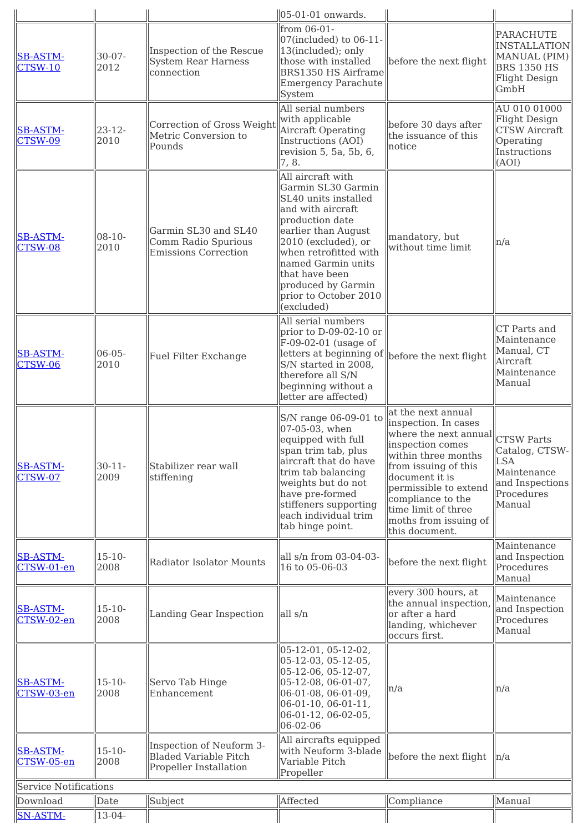| from 06-01-<br><b>PARACHUTE</b><br>$07$ (included) to $06-11$ -<br>Inspection of the Rescue<br>13(included); only<br>30-07-<br><b>SB-ASTM-</b><br><b>System Rear Harness</b><br>those with installed<br>before the next flight<br>2012<br><b>CTSW-10</b><br><b>BRS 1350 HS</b><br>connection<br>BRS1350 HS Airframe<br><b>Emergency Parachute</b><br>GmbH<br>System<br>All serial numbers<br>with applicable<br>Correction of Gross Weight<br>before 30 days after<br>Aircraft Operating<br>$23 - 12$<br><b>SB-ASTM-</b><br>the issuance of this<br>Metric Conversion to<br>2010<br>Instructions (AOI)<br>Operating<br><b>CTSW-09</b><br>Pounds<br>notice<br>Instructions<br>revision 5, 5a, 5b, 6,<br>7, 8.<br>(AOI)<br>All aircraft with<br>Garmin SL30 Garmin<br>SL40 units installed<br>and with aircraft<br>production date<br>Garmin SL30 and SL40<br>earlier than August<br>$08-10-$<br><b>SB-ASTM-</b><br>mandatory, but<br>Comm Radio Spurious<br>2010 (excluded), or<br>n/a<br>2010<br>without time limit<br>CTSW-08<br><b>Emissions Correction</b><br>when retrofitted with<br>named Garmin units<br>that have been<br>produced by Garmin<br>prior to October 2010<br>(excluded)<br>All serial numbers<br>CT Parts and<br>prior to $D-09-02-10$ or<br>Maintenance<br>F-09-02-01 (usage of<br>Manual, CT<br>$06 - 05 -$<br><b>SB-ASTM-</b><br>letters at beginning of<br>before the next flight<br>Fuel Filter Exchange<br>Aircraft<br>2010<br><b>CTSW-06</b><br>S/N started in 2008,<br>Maintenance<br>therefore all S/N<br>Manual<br>beginning without a<br>letter are affected)<br>at the next annual<br>S/N range 06-09-01 to<br>inspection. In cases<br>07-05-03, when<br>where the next annual<br><b>CTSW Parts</b><br>equipped with full<br>inspection comes<br>span trim tab, plus<br>within three months<br>aircraft that do have<br><b>LSA</b><br>$30 - 11$<br><b>SB-ASTM-</b><br>Stabilizer rear wall<br>from issuing of this<br>trim tab balancing<br>Maintenance<br>2009<br>$CTSW-07$<br>document it is<br>stiffening<br>weights but do not<br>permissible to extend<br>Procedures<br>have pre-formed<br>compliance to the<br>stiffeners supporting<br>Manual<br>time limit of three<br>each individual trim<br>moths from issuing of<br>tab hinge point.<br>this document.<br>Maintenance<br>$15 - 10 -$<br>all s/n from 03-04-03-<br><b>SB-ASTM-</b><br><b>Radiator Isolator Mounts</b><br>before the next flight<br>2008<br>16 to 05-06-03<br>Procedures<br>CTSW-01-en<br>Manual<br>every 300 hours, at<br>Maintenance<br>the annual inspection,<br>$15 - 10 -$<br><b>SB-ASTM-</b><br>all s/n<br>or after a hard<br><b>Landing Gear Inspection</b><br>2008<br>CTSW-02-en<br>Procedures<br>landing, whichever<br>Manual<br>occurs first.<br>05-12-01, 05-12-02,<br>05-12-03, 05-12-05,<br>$05-12-06, 05-12-07,$<br>$15 - 10 -$<br><b>SB-ASTM-</b><br>Servo Tab Hinge<br>05-12-08, 06-01-07,<br>n/a<br>n/a<br>CTSW-03-en<br>2008<br>Enhancement<br>06-01-08, 06-01-09,<br>$06-01-10, 06-01-11,$<br>06-01-12, 06-02-05,<br>06-02-06<br>All aircrafts equipped<br>Inspection of Neuform 3-<br>$15 - 10 -$<br>with Neuform 3-blade<br><b>SB-ASTM-</b><br><b>Bladed Variable Pitch</b><br>before the next flight<br>n/a<br>2008<br>CTSW-05-en<br>Variable Pitch<br>Propeller Installation<br>Propeller<br>Service Notifications |          |      | $05-01-01$ onwards. |            |                                                              |
|-----------------------------------------------------------------------------------------------------------------------------------------------------------------------------------------------------------------------------------------------------------------------------------------------------------------------------------------------------------------------------------------------------------------------------------------------------------------------------------------------------------------------------------------------------------------------------------------------------------------------------------------------------------------------------------------------------------------------------------------------------------------------------------------------------------------------------------------------------------------------------------------------------------------------------------------------------------------------------------------------------------------------------------------------------------------------------------------------------------------------------------------------------------------------------------------------------------------------------------------------------------------------------------------------------------------------------------------------------------------------------------------------------------------------------------------------------------------------------------------------------------------------------------------------------------------------------------------------------------------------------------------------------------------------------------------------------------------------------------------------------------------------------------------------------------------------------------------------------------------------------------------------------------------------------------------------------------------------------------------------------------------------------------------------------------------------------------------------------------------------------------------------------------------------------------------------------------------------------------------------------------------------------------------------------------------------------------------------------------------------------------------------------------------------------------------------------------------------------------------------------------------------------------------------------------------------------------------------------------------------------------------------------------------------------------------------------------------------------------------------------------------------------------------------------------------------------------------------------------------------------------------------------------------------------------------------------------------------------------------------------------------------------------------------------------------------------------------------------------------------------------------------------------------------------------------------------------------------------------------------------------------------------------------------------------------------------------------------------|----------|------|---------------------|------------|--------------------------------------------------------------|
|                                                                                                                                                                                                                                                                                                                                                                                                                                                                                                                                                                                                                                                                                                                                                                                                                                                                                                                                                                                                                                                                                                                                                                                                                                                                                                                                                                                                                                                                                                                                                                                                                                                                                                                                                                                                                                                                                                                                                                                                                                                                                                                                                                                                                                                                                                                                                                                                                                                                                                                                                                                                                                                                                                                                                                                                                                                                                                                                                                                                                                                                                                                                                                                                                                                                                                                                                     |          |      |                     |            | <b>INSTALLATION</b><br>MANUAL (PIM)<br><b>Flight Design</b>  |
|                                                                                                                                                                                                                                                                                                                                                                                                                                                                                                                                                                                                                                                                                                                                                                                                                                                                                                                                                                                                                                                                                                                                                                                                                                                                                                                                                                                                                                                                                                                                                                                                                                                                                                                                                                                                                                                                                                                                                                                                                                                                                                                                                                                                                                                                                                                                                                                                                                                                                                                                                                                                                                                                                                                                                                                                                                                                                                                                                                                                                                                                                                                                                                                                                                                                                                                                                     |          |      |                     |            | AU 010 01000<br><b>Flight Design</b><br><b>CTSW Aircraft</b> |
|                                                                                                                                                                                                                                                                                                                                                                                                                                                                                                                                                                                                                                                                                                                                                                                                                                                                                                                                                                                                                                                                                                                                                                                                                                                                                                                                                                                                                                                                                                                                                                                                                                                                                                                                                                                                                                                                                                                                                                                                                                                                                                                                                                                                                                                                                                                                                                                                                                                                                                                                                                                                                                                                                                                                                                                                                                                                                                                                                                                                                                                                                                                                                                                                                                                                                                                                                     |          |      |                     |            |                                                              |
|                                                                                                                                                                                                                                                                                                                                                                                                                                                                                                                                                                                                                                                                                                                                                                                                                                                                                                                                                                                                                                                                                                                                                                                                                                                                                                                                                                                                                                                                                                                                                                                                                                                                                                                                                                                                                                                                                                                                                                                                                                                                                                                                                                                                                                                                                                                                                                                                                                                                                                                                                                                                                                                                                                                                                                                                                                                                                                                                                                                                                                                                                                                                                                                                                                                                                                                                                     |          |      |                     |            |                                                              |
|                                                                                                                                                                                                                                                                                                                                                                                                                                                                                                                                                                                                                                                                                                                                                                                                                                                                                                                                                                                                                                                                                                                                                                                                                                                                                                                                                                                                                                                                                                                                                                                                                                                                                                                                                                                                                                                                                                                                                                                                                                                                                                                                                                                                                                                                                                                                                                                                                                                                                                                                                                                                                                                                                                                                                                                                                                                                                                                                                                                                                                                                                                                                                                                                                                                                                                                                                     |          |      |                     |            | Catalog, CTSW-<br>and Inspections                            |
|                                                                                                                                                                                                                                                                                                                                                                                                                                                                                                                                                                                                                                                                                                                                                                                                                                                                                                                                                                                                                                                                                                                                                                                                                                                                                                                                                                                                                                                                                                                                                                                                                                                                                                                                                                                                                                                                                                                                                                                                                                                                                                                                                                                                                                                                                                                                                                                                                                                                                                                                                                                                                                                                                                                                                                                                                                                                                                                                                                                                                                                                                                                                                                                                                                                                                                                                                     |          |      |                     |            | and Inspection                                               |
|                                                                                                                                                                                                                                                                                                                                                                                                                                                                                                                                                                                                                                                                                                                                                                                                                                                                                                                                                                                                                                                                                                                                                                                                                                                                                                                                                                                                                                                                                                                                                                                                                                                                                                                                                                                                                                                                                                                                                                                                                                                                                                                                                                                                                                                                                                                                                                                                                                                                                                                                                                                                                                                                                                                                                                                                                                                                                                                                                                                                                                                                                                                                                                                                                                                                                                                                                     |          |      |                     |            | and Inspection                                               |
|                                                                                                                                                                                                                                                                                                                                                                                                                                                                                                                                                                                                                                                                                                                                                                                                                                                                                                                                                                                                                                                                                                                                                                                                                                                                                                                                                                                                                                                                                                                                                                                                                                                                                                                                                                                                                                                                                                                                                                                                                                                                                                                                                                                                                                                                                                                                                                                                                                                                                                                                                                                                                                                                                                                                                                                                                                                                                                                                                                                                                                                                                                                                                                                                                                                                                                                                                     |          |      |                     |            |                                                              |
|                                                                                                                                                                                                                                                                                                                                                                                                                                                                                                                                                                                                                                                                                                                                                                                                                                                                                                                                                                                                                                                                                                                                                                                                                                                                                                                                                                                                                                                                                                                                                                                                                                                                                                                                                                                                                                                                                                                                                                                                                                                                                                                                                                                                                                                                                                                                                                                                                                                                                                                                                                                                                                                                                                                                                                                                                                                                                                                                                                                                                                                                                                                                                                                                                                                                                                                                                     |          |      |                     |            |                                                              |
|                                                                                                                                                                                                                                                                                                                                                                                                                                                                                                                                                                                                                                                                                                                                                                                                                                                                                                                                                                                                                                                                                                                                                                                                                                                                                                                                                                                                                                                                                                                                                                                                                                                                                                                                                                                                                                                                                                                                                                                                                                                                                                                                                                                                                                                                                                                                                                                                                                                                                                                                                                                                                                                                                                                                                                                                                                                                                                                                                                                                                                                                                                                                                                                                                                                                                                                                                     |          |      |                     |            |                                                              |
| Subject<br>$13-04-$                                                                                                                                                                                                                                                                                                                                                                                                                                                                                                                                                                                                                                                                                                                                                                                                                                                                                                                                                                                                                                                                                                                                                                                                                                                                                                                                                                                                                                                                                                                                                                                                                                                                                                                                                                                                                                                                                                                                                                                                                                                                                                                                                                                                                                                                                                                                                                                                                                                                                                                                                                                                                                                                                                                                                                                                                                                                                                                                                                                                                                                                                                                                                                                                                                                                                                                                 | Download | Date | Affected            | Compliance | Manual                                                       |